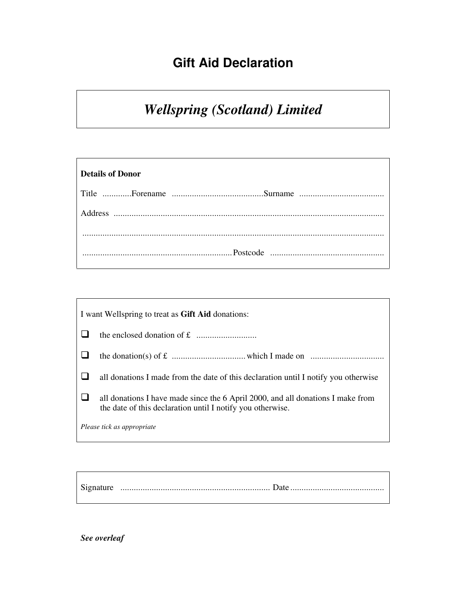## **Gift Aid Declaration**

## *Wellspring (Scotland) Limited*

| <b>Details of Donor</b> |  |
|-------------------------|--|
|                         |  |
| Address                 |  |
|                         |  |
|                         |  |

| I want Wellspring to treat as Gift Aid donations: |                                                                                                                                               |  |
|---------------------------------------------------|-----------------------------------------------------------------------------------------------------------------------------------------------|--|
|                                                   |                                                                                                                                               |  |
|                                                   |                                                                                                                                               |  |
|                                                   | all donations I made from the date of this declaration until I notify you otherwise                                                           |  |
|                                                   | all donations I have made since the 6 April 2000, and all donations I make from<br>the date of this declaration until I notify you otherwise. |  |
| Please tick as appropriate                        |                                                                                                                                               |  |

Signature ................................................................... Date ..........................................

*See overleaf*

r